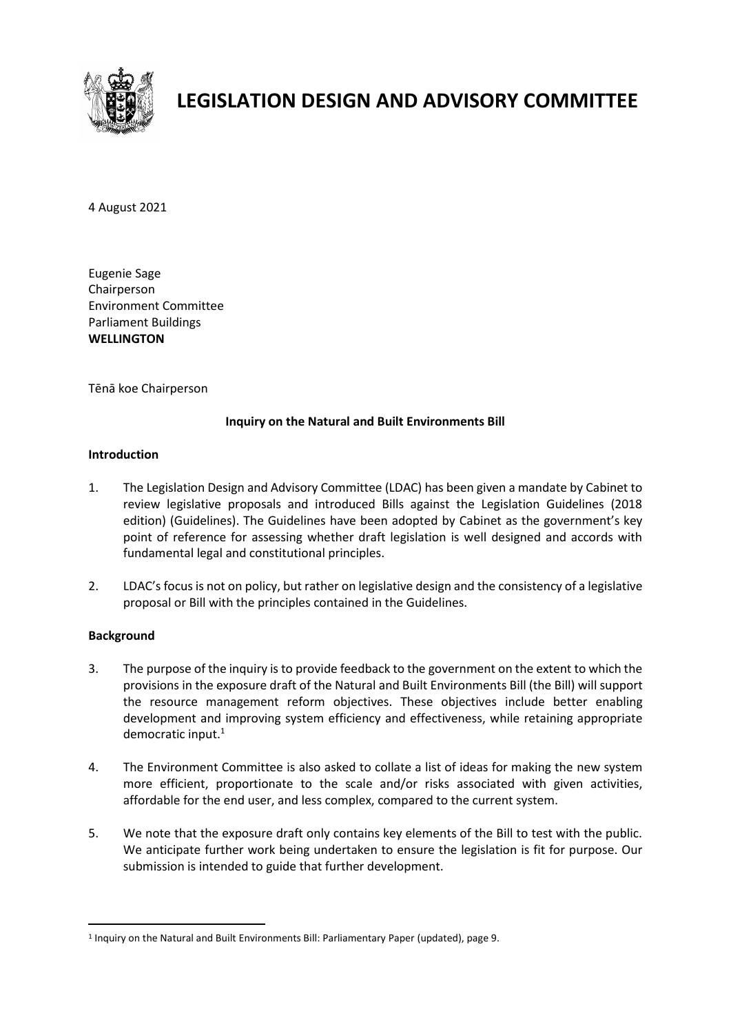

# **LEGISLATION DESIGN AND ADVISORY COMMITTEE**

4 August 2021

Eugenie Sage Chairperson Environment Committee Parliament Buildings **WELLINGTON**

Tēnā koe Chairperson

# **Inquiry on the Natural and Built Environments Bill**

## **Introduction**

- 1. The Legislation Design and Advisory Committee (LDAC) has been given a mandate by Cabinet to review legislative proposals and introduced Bills against the Legislation Guidelines (2018 edition) (Guidelines). The Guidelines have been adopted by Cabinet as the government's key point of reference for assessing whether draft legislation is well designed and accords with fundamental legal and constitutional principles.
- 2. LDAC's focus is not on policy, but rather on legislative design and the consistency of a legislative proposal or Bill with the principles contained in the Guidelines.

# **Background**

-

- 3. The purpose of the inquiry is to provide feedback to the government on the extent to which the provisions in the exposure draft of the Natural and Built Environments Bill (the Bill) will support the resource management reform objectives. These objectives include better enabling development and improving system efficiency and effectiveness, while retaining appropriate democratic input. 1
- 4. The Environment Committee is also asked to collate a list of ideas for making the new system more efficient, proportionate to the scale and/or risks associated with given activities, affordable for the end user, and less complex, compared to the current system.
- 5. We note that the exposure draft only contains key elements of the Bill to test with the public. We anticipate further work being undertaken to ensure the legislation is fit for purpose. Our submission is intended to guide that further development.

<sup>&</sup>lt;sup>1</sup> Inquiry on the Natural and Built Environments Bill: Parliamentary Paper (updated), page 9.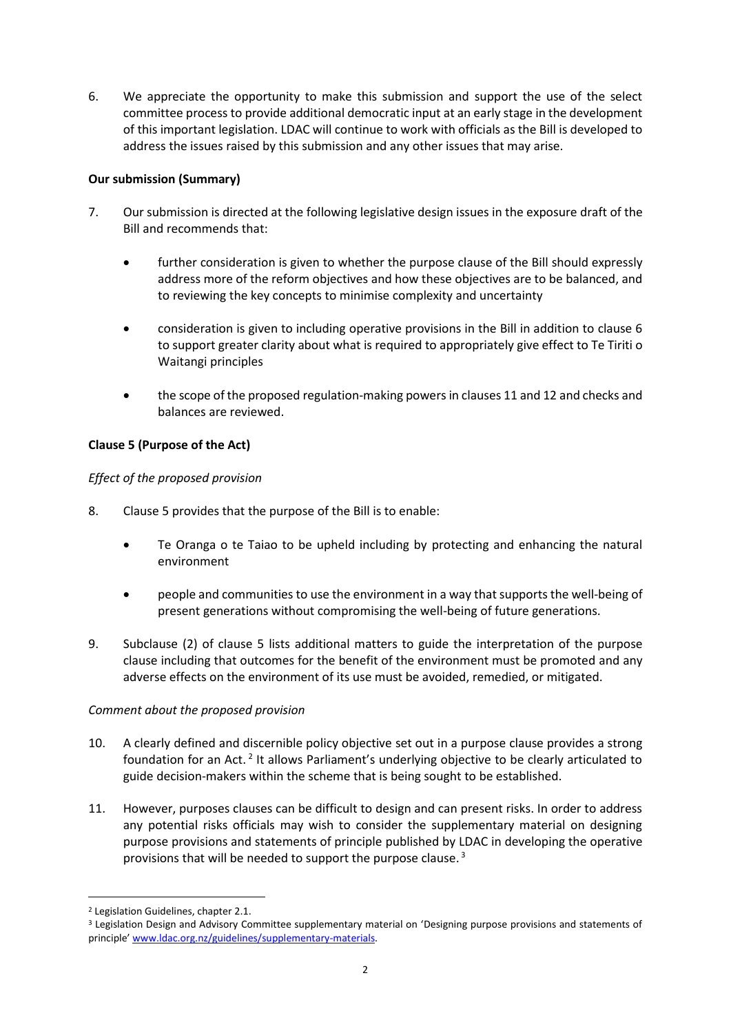6. We appreciate the opportunity to make this submission and support the use of the select committee process to provide additional democratic input at an early stage in the development of this important legislation. LDAC will continue to work with officials as the Bill is developed to address the issues raised by this submission and any other issues that may arise.

# **Our submission (Summary)**

- 7. Our submission is directed at the following legislative design issues in the exposure draft of the Bill and recommends that:
	- further consideration is given to whether the purpose clause of the Bill should expressly address more of the reform objectives and how these objectives are to be balanced, and to reviewing the key concepts to minimise complexity and uncertainty
	- consideration is given to including operative provisions in the Bill in addition to clause 6 to support greater clarity about what is required to appropriately give effect to Te Tiriti o Waitangi principles
	- the scope of the proposed regulation-making powers in clauses 11 and 12 and checks and balances are reviewed.

# **Clause 5 (Purpose of the Act)**

# *Effect of the proposed provision*

- 8. Clause 5 provides that the purpose of the Bill is to enable:
	- Te Oranga o te Taiao to be upheld including by protecting and enhancing the natural environment
	- people and communities to use the environment in a way that supports the well-being of present generations without compromising the well-being of future generations.
- 9. Subclause (2) of clause 5 lists additional matters to guide the interpretation of the purpose clause including that outcomes for the benefit of the environment must be promoted and any adverse effects on the environment of its use must be avoided, remedied, or mitigated.

# *Comment about the proposed provision*

- 10. A clearly defined and discernible policy objective set out in a purpose clause provides a strong foundation for an Act.<sup>2</sup> It allows Parliament's underlying objective to be clearly articulated to guide decision-makers within the scheme that is being sought to be established.
- 11. However, purposes clauses can be difficult to design and can present risks. In order to address any potential risks officials may wish to consider the supplementary material on designing purpose provisions and statements of principle published by LDAC in developing the operative provisions that will be needed to support the purpose clause.<sup>3</sup>

-

<sup>2</sup> Legislation Guidelines, chapter 2.1.

<sup>3</sup> Legislation Design and Advisory Committee supplementary material on 'Designing purpose provisions and statements of principle' [www.ldac.org.nz/guidelines/supplementary-materials.](http://www.ldac.org.nz/guidelines/supplementary-materials)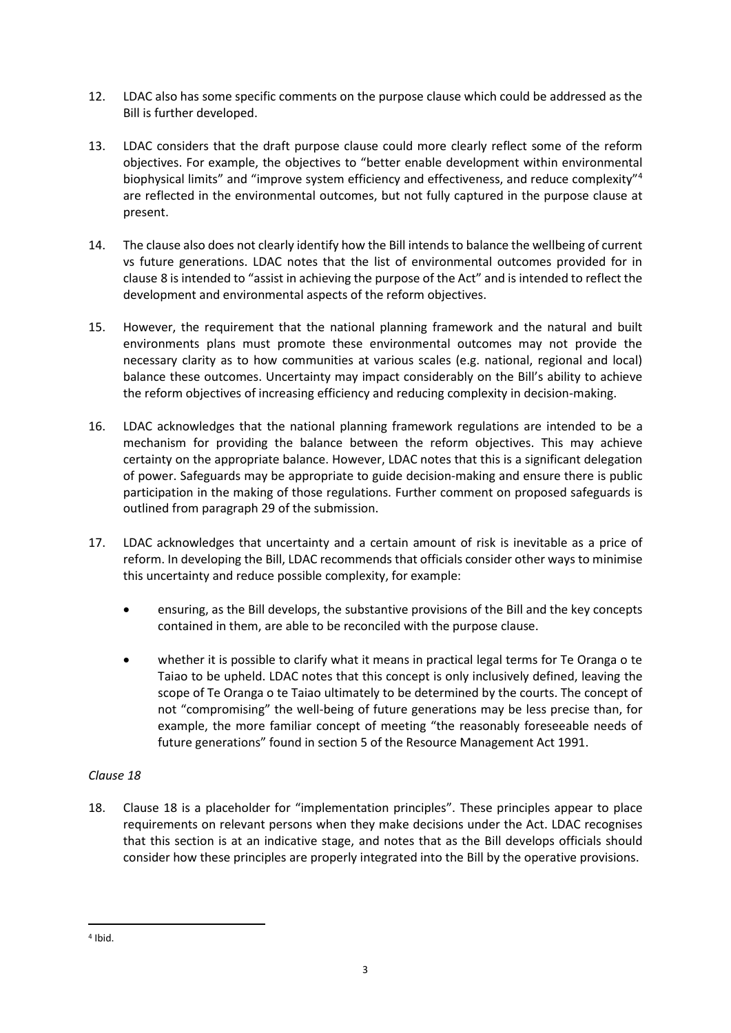- 12. LDAC also has some specific comments on the purpose clause which could be addressed as the Bill is further developed.
- 13. LDAC considers that the draft purpose clause could more clearly reflect some of the reform objectives. For example, the objectives to "better enable development within environmental biophysical limits" and "improve system efficiency and effectiveness, and reduce complexity"<sup>4</sup> are reflected in the environmental outcomes, but not fully captured in the purpose clause at present.
- 14. The clause also does not clearly identify how the Bill intends to balance the wellbeing of current vs future generations. LDAC notes that the list of environmental outcomes provided for in clause 8 is intended to "assist in achieving the purpose of the Act" and is intended to reflect the development and environmental aspects of the reform objectives.
- 15. However, the requirement that the national planning framework and the natural and built environments plans must promote these environmental outcomes may not provide the necessary clarity as to how communities at various scales (e.g. national, regional and local) balance these outcomes. Uncertainty may impact considerably on the Bill's ability to achieve the reform objectives of increasing efficiency and reducing complexity in decision-making.
- 16. LDAC acknowledges that the national planning framework regulations are intended to be a mechanism for providing the balance between the reform objectives. This may achieve certainty on the appropriate balance. However, LDAC notes that this is a significant delegation of power. Safeguards may be appropriate to guide decision-making and ensure there is public participation in the making of those regulations. Further comment on proposed safeguards is outlined from paragraph 29 of the submission.
- 17. LDAC acknowledges that uncertainty and a certain amount of risk is inevitable as a price of reform. In developing the Bill, LDAC recommends that officials consider other ways to minimise this uncertainty and reduce possible complexity, for example:
	- ensuring, as the Bill develops, the substantive provisions of the Bill and the key concepts contained in them, are able to be reconciled with the purpose clause.
	- whether it is possible to clarify what it means in practical legal terms for Te Oranga o te Taiao to be upheld. LDAC notes that this concept is only inclusively defined, leaving the scope of Te Oranga o te Taiao ultimately to be determined by the courts. The concept of not "compromising" the well-being of future generations may be less precise than, for example, the more familiar concept of meeting "the reasonably foreseeable needs of future generations" found in section 5 of the Resource Management Act 1991.

# *Clause 18*

18. Clause 18 is a placeholder for "implementation principles". These principles appear to place requirements on relevant persons when they make decisions under the Act. LDAC recognises that this section is at an indicative stage, and notes that as the Bill develops officials should consider how these principles are properly integrated into the Bill by the operative provisions.

-

<sup>4</sup> Ibid.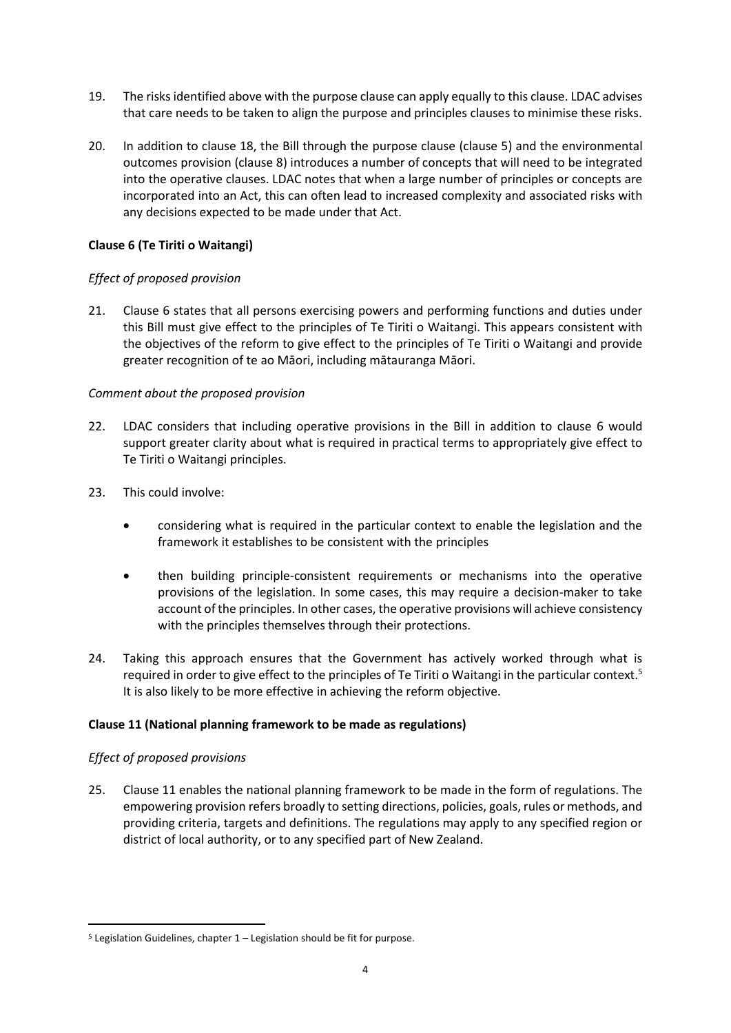- 19. The risks identified above with the purpose clause can apply equally to this clause. LDAC advises that care needs to be taken to align the purpose and principles clauses to minimise these risks.
- 20. In addition to clause 18, the Bill through the purpose clause (clause 5) and the environmental outcomes provision (clause 8) introduces a number of concepts that will need to be integrated into the operative clauses. LDAC notes that when a large number of principles or concepts are incorporated into an Act, this can often lead to increased complexity and associated risks with any decisions expected to be made under that Act.

## **Clause 6 (Te Tiriti o Waitangi)**

## *Effect of proposed provision*

21. Clause 6 states that all persons exercising powers and performing functions and duties under this Bill must give effect to the principles of Te Tiriti o Waitangi. This appears consistent with the objectives of the reform to give effect to the principles of Te Tiriti o Waitangi and provide greater recognition of te ao Māori, including mātauranga Māori.

## *Comment about the proposed provision*

- 22. LDAC considers that including operative provisions in the Bill in addition to clause 6 would support greater clarity about what is required in practical terms to appropriately give effect to Te Tiriti o Waitangi principles.
- 23. This could involve:
	- considering what is required in the particular context to enable the legislation and the framework it establishes to be consistent with the principles
	- then building principle-consistent requirements or mechanisms into the operative provisions of the legislation. In some cases, this may require a decision-maker to take account of the principles. In other cases, the operative provisions will achieve consistency with the principles themselves through their protections.
- 24. Taking this approach ensures that the Government has actively worked through what is required in order to give effect to the principles of Te Tiriti o Waitangi in the particular context.<sup>5</sup> It is also likely to be more effective in achieving the reform objective.

# **Clause 11 (National planning framework to be made as regulations)**

#### *Effect of proposed provisions*

-

25. Clause 11 enables the national planning framework to be made in the form of regulations. The empowering provision refers broadly to setting directions, policies, goals, rules or methods, and providing criteria, targets and definitions. The regulations may apply to any specified region or district of local authority, or to any specified part of New Zealand.

 $5$  Legislation Guidelines, chapter  $1$  – Legislation should be fit for purpose.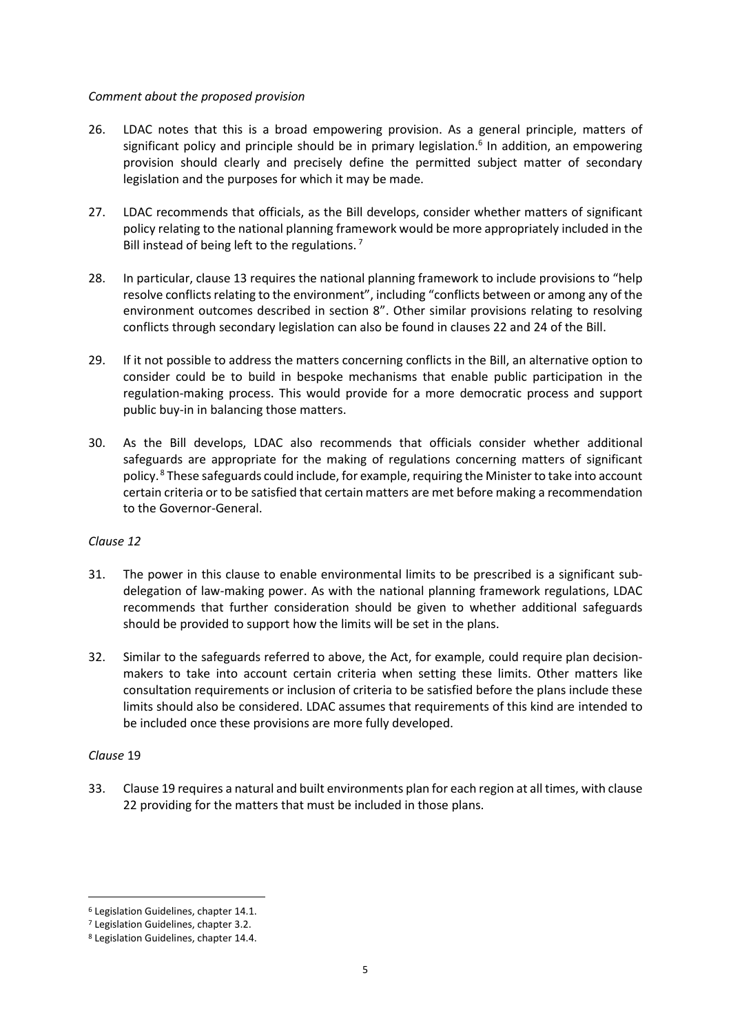#### *Comment about the proposed provision*

- 26. LDAC notes that this is a broad empowering provision. As a general principle, matters of significant policy and principle should be in primary legislation.<sup>6</sup> In addition, an empowering provision should clearly and precisely define the permitted subject matter of secondary legislation and the purposes for which it may be made.
- 27. LDAC recommends that officials, as the Bill develops, consider whether matters of significant policy relating to the national planning framework would be more appropriately included in the Bill instead of being left to the regulations.<sup>7</sup>
- 28. In particular, clause 13 requires the national planning framework to include provisions to "help resolve conflicts relating to the environment", including "conflicts between or among any of the environment outcomes described in section 8". Other similar provisions relating to resolving conflicts through secondary legislation can also be found in clauses 22 and 24 of the Bill.
- 29. If it not possible to address the matters concerning conflicts in the Bill, an alternative option to consider could be to build in bespoke mechanisms that enable public participation in the regulation-making process. This would provide for a more democratic process and support public buy-in in balancing those matters.
- 30. As the Bill develops, LDAC also recommends that officials consider whether additional safeguards are appropriate for the making of regulations concerning matters of significant policy.<sup>8</sup> These safeguards could include, for example, requiring the Minister to take into account certain criteria or to be satisfied that certain matters are met before making a recommendation to the Governor-General.

#### *Clause 12*

- 31. The power in this clause to enable environmental limits to be prescribed is a significant subdelegation of law-making power. As with the national planning framework regulations, LDAC recommends that further consideration should be given to whether additional safeguards should be provided to support how the limits will be set in the plans.
- 32. Similar to the safeguards referred to above, the Act, for example, could require plan decisionmakers to take into account certain criteria when setting these limits. Other matters like consultation requirements or inclusion of criteria to be satisfied before the plans include these limits should also be considered. LDAC assumes that requirements of this kind are intended to be included once these provisions are more fully developed.

#### *Clause* 19

-

33. Clause 19 requires a natural and built environments plan for each region at all times, with clause 22 providing for the matters that must be included in those plans.

<sup>6</sup> Legislation Guidelines, chapter 14.1.

<sup>7</sup> Legislation Guidelines, chapter 3.2.

<sup>8</sup> Legislation Guidelines, chapter 14.4.